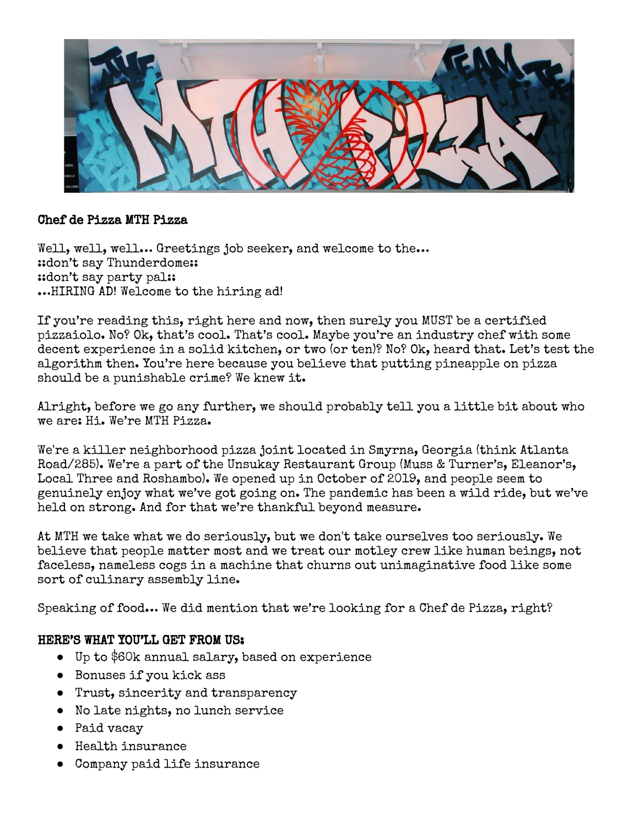

## Chef de Pizza MTH Pizza

Well, well, well... Greetings job seeker, and welcome to the... ::don't say Thunderdome:: ::don't say party pal:: …HIRING AD! Welcome to the hiring ad!

If you're reading this, right here and now, then surely you MUST be a certified pizzaiolo. No? Ok, that's cool. That's cool. Maybe you're an industry chef with some decent experience in a solid kitchen, or two (or ten)? No? Ok, heard that. Let's test the algorithm then. You're here because you believe that putting pineapple on pizza should be a punishable crime? We knew it.

Alright, before we go any further, we should probably tell you a little bit about who we are: Hi. We're MTH Pizza.

We're a killer neighborhood pizza joint located in Smyrna, Georgia (think Atlanta Road/285). We're a part of the Unsukay Restaurant Group (Muss & Turner's, Eleanor's, Local Three and Roshambo). We opened up in October of 2019, and people seem to genuinely enjoy what we've got going on. The pandemic has been a wild ride, but we've held on strong. And for that we're thankful beyond measure.

At MTH we take what we do seriously, but we don't take ourselves too seriously. We believe that people matter most and we treat our motley crew like human beings, not faceless, nameless cogs in a machine that churns out unimaginative food like some sort of culinary assembly line.

Speaking of food… We did mention that we're looking for a Chef de Pizza, right?

## HERE'S WHAT YOU'LL GET FROM US:

- Up to \$60k annual salary, based on experience
- Bonuses if you kick ass
- Trust, sincerity and transparency
- No late nights, no lunch service
- Paid vacay
- Health insurance
- Company paid life insurance